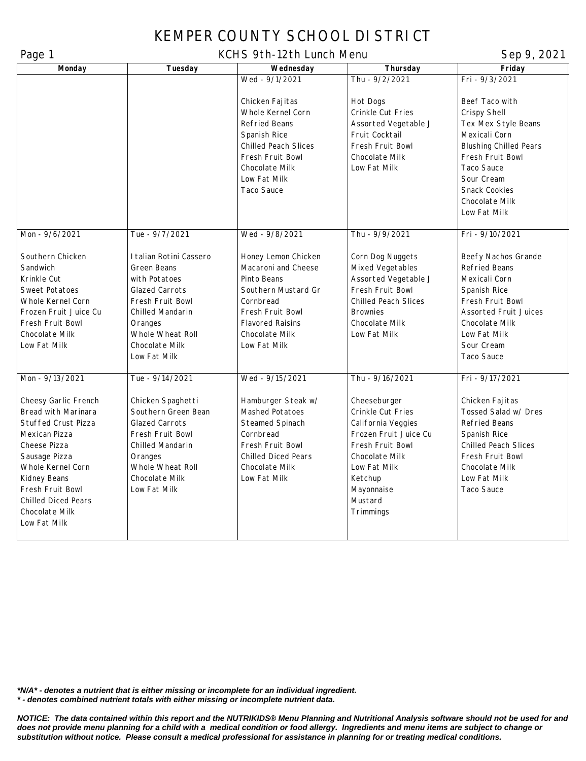## KEMPER COUNTY SCHOOL DISTRICT

## Page 1 Sep 9, 2021

| r ayu r<br>Monday          | Tuesday                 | <b>INVITIVE ZULLE LATION INTOITA</b><br>Wednesday | Thursday                    | $J_V$ $V_1$ $2V_2$ $I_1$<br>Friday |
|----------------------------|-------------------------|---------------------------------------------------|-----------------------------|------------------------------------|
|                            |                         | Wed - 9/1/2021                                    | Thu - 9/2/2021              | Fri - 9/3/2021                     |
|                            |                         |                                                   |                             |                                    |
|                            |                         | Chicken Fajitas                                   | Hot Dogs                    | Beef Taco with                     |
|                            |                         | Whole Kernel Corn                                 | Crinkle Cut Fries           | Crispy Shell                       |
|                            |                         | Refried Beans                                     | Assorted Vegetable J        | Tex Mex Style Beans                |
|                            |                         |                                                   |                             |                                    |
|                            |                         | Spanish Rice                                      | Fruit Cocktail              | Mexicali Corn                      |
|                            |                         | <b>Chilled Peach Slices</b>                       | Fresh Fruit Bowl            | <b>Blushing Chilled Pears</b>      |
|                            |                         | Fresh Fruit Bowl                                  | Chocolate Milk              | Fresh Fruit Bowl                   |
|                            |                         | Chocolate Milk                                    | Low Fat Milk                | Taco Sauce                         |
|                            |                         | Low Fat Milk                                      |                             | Sour Cream                         |
|                            |                         | Taco Sauce                                        |                             | <b>Snack Cookies</b>               |
|                            |                         |                                                   |                             | Chocolate Milk                     |
|                            |                         |                                                   |                             | Low Fat Milk                       |
|                            |                         |                                                   |                             |                                    |
| Mon - 9/6/2021             | Tue - 9/7/2021          | Wed - 9/8/2021                                    | Thu - 9/9/2021              | Fri - 9/10/2021                    |
|                            |                         |                                                   |                             |                                    |
| Southern Chicken           | I talian Rotini Cassero | Honey Lemon Chicken                               | Corn Dog Nuggets            | Beefy Nachos Grande                |
| Sandwich                   | Green Beans             | Macaroni and Cheese                               | Mixed Vegetables            | <b>Refried Beans</b>               |
| Krinkle Cut                | with Potatoes           | Pinto Beans                                       | Assorted Vegetable J        | Mexicali Corn                      |
| Sweet Potatoes             | <b>Glazed Carrots</b>   | Southern Mustard Gr                               | Fresh Fruit Bowl            | Spanish Rice                       |
| Whole Kernel Corn          | Fresh Fruit Bowl        | Cornbread                                         | <b>Chilled Peach Slices</b> | Fresh Fruit Bowl                   |
| Frozen Fruit Juice Cu      | Chilled Mandarin        | Fresh Fruit Bowl                                  | <b>Brownies</b>             | <b>Assorted Fruit Juices</b>       |
| Fresh Fruit Bowl           | Oranges                 | <b>Flavored Raisins</b>                           | Chocolate Milk              | Chocolate Milk                     |
| Chocolate Milk             | Whole Wheat Roll        | Chocolate Milk                                    | Low Fat Milk                | Low Fat Milk                       |
| Low Fat Milk               | Chocolate Milk          | Low Fat Milk                                      |                             | Sour Cream                         |
|                            | Low Fat Milk            |                                                   |                             | <b>Taco Sauce</b>                  |
|                            |                         |                                                   |                             |                                    |
| Mon - 9/13/2021            | Tue - 9/14/2021         | Wed - 9/15/2021                                   | Thu - 9/16/2021             | Fri - 9/17/2021                    |
|                            |                         |                                                   |                             |                                    |
| Cheesy Garlic French       | Chicken Spaghetti       | Hamburger Steak w/                                | Cheeseburger                | Chicken Fajitas                    |
| Bread with Marinara        | Southern Green Bean     | Mashed Potatoes                                   | Crinkle Cut Fries           | Tossed Salad w/ Dres               |
| <b>Stuffed Crust Pizza</b> | <b>Glazed Carrots</b>   | Steamed Spinach                                   | California Veggies          | <b>Refried Beans</b>               |
| Mexican Pizza              | Fresh Fruit Bowl        | Cornbread                                         | Frozen Fruit Juice Cu       | Spanish Rice                       |
| Cheese Pizza               | Chilled Mandarin        | Fresh Fruit Bowl                                  | Fresh Fruit Bowl            | <b>Chilled Peach Slices</b>        |
| Sausage Pizza              | Oranges                 | <b>Chilled Diced Pears</b>                        | Chocolate Milk              | Fresh Fruit Bowl                   |
| Whole Kernel Corn          | Whole Wheat Roll        | Chocolate Milk                                    | Low Fat Milk                | Chocolate Milk                     |
| Kidney Beans               | Chocolate Milk          | Low Fat Milk                                      | Ketchup                     | Low Fat Milk                       |
| Fresh Fruit Bowl           | Low Fat Milk            |                                                   | Mayonnaise                  | <b>Taco Sauce</b>                  |
| <b>Chilled Diced Pears</b> |                         |                                                   | Mustard                     |                                    |
| Chocolate Milk             |                         |                                                   | Trimmings                   |                                    |
| Low Fat Milk               |                         |                                                   |                             |                                    |
|                            |                         |                                                   |                             |                                    |
|                            |                         |                                                   |                             |                                    |

*\*N/A\* - denotes a nutrient that is either missing or incomplete for an individual ingredient. \* - denotes combined nutrient totals with either missing or incomplete nutrient data.*

*NOTICE: The data contained within this report and the NUTRIKIDS® Menu Planning and Nutritional Analysis software should not be used for and does not provide menu planning for a child with a medical condition or food allergy. Ingredients and menu items are subject to change or substitution without notice. Please consult a medical professional for assistance in planning for or treating medical conditions.*